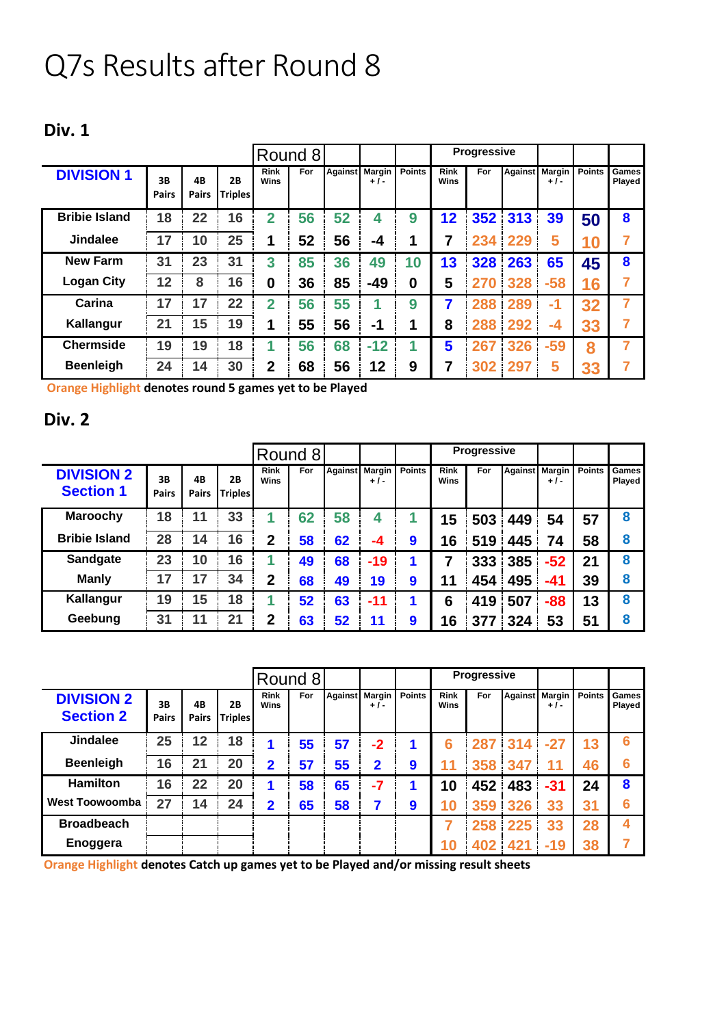## Q7s Results after Round 8

## **Div. 1**

|                      |                    |                    |                      |                            | Round 8    |    |                         |               |                            | <b>Progressive</b> |                |                      |               |                 |
|----------------------|--------------------|--------------------|----------------------|----------------------------|------------|----|-------------------------|---------------|----------------------------|--------------------|----------------|----------------------|---------------|-----------------|
| <b>DIVISION 1</b>    | 3B<br><b>Pairs</b> | 4B<br><b>Pairs</b> | 2B<br><b>Triples</b> | <b>Rink</b><br><b>Wins</b> | <b>For</b> |    | Against Margin<br>$+1-$ | <b>Points</b> | <b>Rink</b><br><b>Wins</b> | For                | <b>Against</b> | <b>Margin</b><br>+/- | <b>Points</b> | Games<br>Played |
| <b>Bribie Island</b> | 18                 | 22                 | 16                   | 2                          | 56         | 52 | 4                       | 9             | 12                         |                    | 352 313        | 39                   | 50            | 8               |
| <b>Jindalee</b>      | 17                 | 10                 | 25                   | 1                          | 52         | 56 | -4                      | 1             | 7                          | 234                | 229            | 5                    | 10            | 7               |
| <b>New Farm</b>      | 31                 | 23                 | 31                   | 3                          | 85         | 36 | 49                      | 10            | 13                         | 328                | 263            | 65                   | 45            | 8               |
| <b>Logan City</b>    | 12                 | 8                  | 16                   | 0                          | 36         | 85 | $-49$                   | 0             | 5                          | 270                | 328            | $-58$                | 16            | 7               |
| Carina               | 17                 | 17                 | 22                   | $\overline{2}$             | 56         | 55 |                         | 9             | 7                          | 288                | 289            | -1                   | 32            | 7               |
| Kallangur            | 21                 | 15                 | 19                   | 1                          | 55         | 56 | -1                      | 1             | 8                          | 288                | 292            | -4                   | 33            | 7               |
| <b>Chermside</b>     | 19                 | 19                 | 18                   |                            | 56         | 68 | $-12$                   |               | 5                          | 267                | 326            | $-59$                | 8             |                 |
| <b>Beenleigh</b>     | 24                 | 14                 | 30                   | $\overline{2}$             | 68         | 56 | 12                      | 9             | 7                          | 302                | 297            | 5                    | 33            | 7               |

**Orange Highlight denotes round 5 games yet to be Played**

## **Div. 2**

|                                       |                    |                    |                             |                            | Round 8 |                |       |               |                     | Progressive |     |                         |               |                 |
|---------------------------------------|--------------------|--------------------|-----------------------------|----------------------------|---------|----------------|-------|---------------|---------------------|-------------|-----|-------------------------|---------------|-----------------|
| <b>DIVISION 2</b><br><b>Section 1</b> | 3B<br><b>Pairs</b> | 4B<br><b>Pairs</b> | <b>2B</b><br><b>Triples</b> | <b>Rink</b><br><b>Wins</b> | For     | Against Margin | $+1-$ | <b>Points</b> | <b>Rink</b><br>Wins | For         |     | Against Margin<br>$+1-$ | <b>Points</b> | Games<br>Played |
| <b>Maroochy</b>                       | 18                 | 11                 | 33                          |                            | 62      | 58             | 4     |               | 15                  | 503         | 449 | 54                      | 57            | 8               |
| <b>Bribie Island</b>                  | 28                 | 14                 | 16                          | $\mathbf{2}$               | 58      | 62             | -4    | 9             | 16                  | 519         | 445 | 74                      | 58            | 8               |
| <b>Sandgate</b>                       | 23                 | 10                 | 16                          |                            | 49      | 68             | $-19$ |               | 7                   | 333         | 385 | $-52$                   | 21            | 8               |
| <b>Manly</b>                          | 17                 | 17                 | 34                          | $\mathbf 2$                | 68      | 49             | 19    | 9             | 11                  | 454         | 495 | $-41$                   | 39            | 8               |
| Kallangur                             | 19                 | 15                 | 18                          |                            | 52      | 63             | $-11$ | 1             | 6                   | 419         | 507 | $-88$                   | 13            | 8               |
| Geebung                               | 31                 | 11                 | 21                          | $\mathbf 2$                | 63      | 52             | 11    | 9             | 16                  | 377         | 324 | 53                      | 51            | 8               |

|                                       |                    |                    |                      | Round 8                    |     |    |                         |               |                     | <b>Progressive</b> |         |                         |               |                        |
|---------------------------------------|--------------------|--------------------|----------------------|----------------------------|-----|----|-------------------------|---------------|---------------------|--------------------|---------|-------------------------|---------------|------------------------|
| <b>DIVISION 2</b><br><b>Section 2</b> | 3B<br><b>Pairs</b> | 4B<br><b>Pairs</b> | 2B<br><b>Triples</b> | <b>Rink</b><br><b>Wins</b> | For |    | Against Margin<br>$+1-$ | <b>Points</b> | <b>Rink</b><br>Wins | For                |         | Against Margin<br>$+1-$ | <b>Points</b> | <b>Games</b><br>Played |
| <b>Jindalee</b>                       | 25                 | 12                 | 18                   |                            | 55  | 57 | $-2$                    |               | 6                   |                    | 287 314 | $-27$                   | 13            | 6                      |
| <b>Beenleigh</b>                      | 16                 | 21                 | 20                   | $\overline{2}$             | 57  | 55 | $\mathbf 2$             | 9             | 11                  | 358                | 347     | 11                      | 46            | 6                      |
| <b>Hamilton</b>                       | 16                 | 22                 | 20                   | 1                          | 58  | 65 | $-7$                    | 1             | 10                  | 452                | 483     | $-31$                   | 24            | 8                      |
| <b>West Toowoomba</b>                 | 27                 | 14                 | 24                   | $\mathbf 2$                | 65  | 58 | 7                       | 9             | 10                  | 359 326            |         | 33                      | 31            | 6                      |
| <b>Broadbeach</b>                     |                    |                    |                      |                            |     |    |                         |               |                     |                    | 258 225 | 33                      | 28            | 4                      |
| Enoggera                              |                    |                    |                      |                            |     |    |                         |               | 10                  | 402                | 421     | $-19$                   | 38            |                        |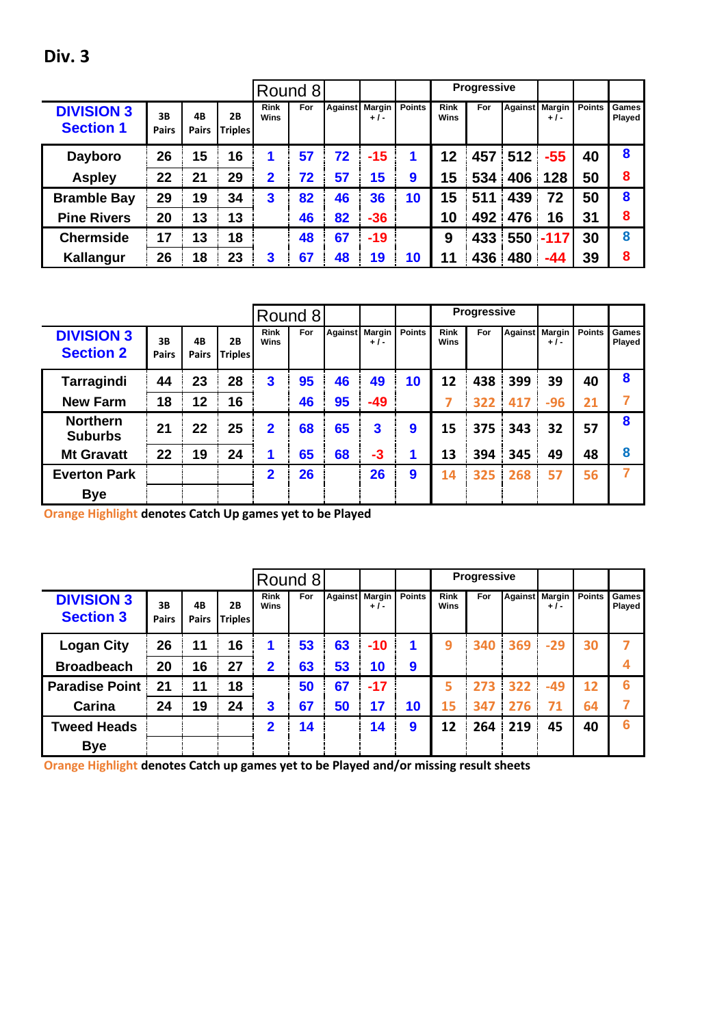|                                       |                    |                    |                      |                            | Round 8 |    |                         |               |                            | <b>Progressive</b> |                |        |               |                        |
|---------------------------------------|--------------------|--------------------|----------------------|----------------------------|---------|----|-------------------------|---------------|----------------------------|--------------------|----------------|--------|---------------|------------------------|
| <b>DIVISION 3</b><br><b>Section 1</b> | 3B<br><b>Pairs</b> | 4B<br><b>Pairs</b> | 2Β<br><b>Triples</b> | <b>Rink</b><br><b>Wins</b> | For     |    | Against Margin<br>$+1-$ | <b>Points</b> | <b>Rink</b><br><b>Wins</b> | For                | Against Margin | $+1-$  | <b>Points</b> | Games<br><b>Played</b> |
| <b>Dayboro</b>                        | 26                 | 15                 | 16                   | 1                          | 57      | 72 | $-15$                   | 1             | 12                         | 457                | 512            | $-55$  | 40            | 8                      |
| <b>Aspley</b>                         | 22                 | 21                 | 29                   | $\mathbf{2}$               | 72      | 57 | 15                      | 9             | $\overline{15}$            | 534                | 406            | 128    | 50            | 8                      |
| <b>Bramble Bay</b>                    | 29                 | 19                 | 34                   | 3                          | 82      | 46 | 36                      | 10            | 15                         | 511                | 439            | 72     | 50            | 8                      |
| <b>Pine Rivers</b>                    | 20                 | 13                 | 13                   |                            | 46      | 82 | $-36$                   |               | 10                         | 492                | 476            | 16     | 31            | 8                      |
| <b>Chermside</b>                      | 17                 | 13                 | 18                   |                            | 48      | 67 | $-19$                   |               | 9                          | 433                | 550            | $-117$ | 30            | 8                      |
| Kallangur                             | 26                 | 18                 | 23                   | 3                          | 67      | 48 | 19                      | 10            | 11                         | 436                | 480            | -44    | 39            | 8                      |

|                                       |                    |                    |                      |                     | Round 8 |    |                         |               |                            | <b>Progressive</b> |                |       |               |                        |
|---------------------------------------|--------------------|--------------------|----------------------|---------------------|---------|----|-------------------------|---------------|----------------------------|--------------------|----------------|-------|---------------|------------------------|
| <b>DIVISION 3</b><br><b>Section 2</b> | 3B<br><b>Pairs</b> | 4B<br><b>Pairs</b> | 2B<br><b>Triples</b> | <b>Rink</b><br>Wins | For     |    | Against Margin<br>$+1-$ | <b>Points</b> | <b>Rink</b><br><b>Wins</b> | For                | Against Margin | $+1-$ | <b>Points</b> | <b>Games</b><br>Played |
| Tarragindi                            | 44                 | 23                 | 28                   | 3                   | 95      | 46 | 49                      | 10            | 12                         | 438                | 399            | 39    | 40            | 8                      |
| <b>New Farm</b>                       | 18                 | 12                 | 16                   |                     | 46      | 95 | $-49$                   |               |                            | 322                | 417            | $-96$ | 21            |                        |
| <b>Northern</b><br><b>Suburbs</b>     | 21                 | 22                 | 25                   | $\mathbf{2}$        | 68      | 65 | 3                       | 9             | 15                         | 375                | 343            | 32    | 57            | 8                      |
| <b>Mt Gravatt</b>                     | 22                 | 19                 | 24                   | 1                   | 65      | 68 | $-3$                    |               | 13                         | 394                | 345            | 49    | 48            | 8                      |
| <b>Everton Park</b>                   |                    |                    |                      | 2                   | 26      |    | 26                      | 9             | 14                         | 325                | 268            | 57    | 56            |                        |
| <b>Bye</b>                            |                    |                    |                      |                     |         |    |                         |               |                            |                    |                |       |               |                        |

**Orange Highlight denotes Catch Up games yet to be Played**

|                                       |                    |                    |                      |                     | Round 8 |    |                         |               |                            | <b>Progressive</b> |                |       |               |                 |
|---------------------------------------|--------------------|--------------------|----------------------|---------------------|---------|----|-------------------------|---------------|----------------------------|--------------------|----------------|-------|---------------|-----------------|
| <b>DIVISION 3</b><br><b>Section 3</b> | 3B<br><b>Pairs</b> | 4B<br><b>Pairs</b> | 2B<br><b>Triples</b> | <b>Rink</b><br>Wins | For     |    | Against Margin<br>$+1-$ | <b>Points</b> | <b>Rink</b><br><b>Wins</b> | For                | Against Margin | $+1-$ | <b>Points</b> | Games<br>Played |
| <b>Logan City</b>                     | 26                 | 11                 | 16                   |                     | 53      | 63 | $-10$                   |               | 9                          | 340                | 369            | $-29$ | 30            |                 |
| <b>Broadbeach</b>                     | 20                 | 16                 | 27                   | $\mathbf{2}$        | 63      | 53 | 10                      | 9             |                            |                    |                |       |               |                 |
| <b>Paradise Point</b>                 | 21                 | 11                 | 18                   |                     | 50      | 67 | $-17$                   |               | 5                          | 273                | 322            | $-49$ | 12            | 6               |
| Carina                                | 24                 | 19                 | 24                   | 3                   | 67      | 50 | 17                      | 10            | 15                         | 347                | 276            | 71    | 64            |                 |
| <b>Tweed Heads</b>                    |                    |                    |                      | 2                   | 14      |    | 14                      | 9             | 12                         | 264                | 219            | 45    | 40            | 6               |
| <b>Bye</b>                            |                    |                    |                      |                     |         |    |                         |               |                            |                    |                |       |               |                 |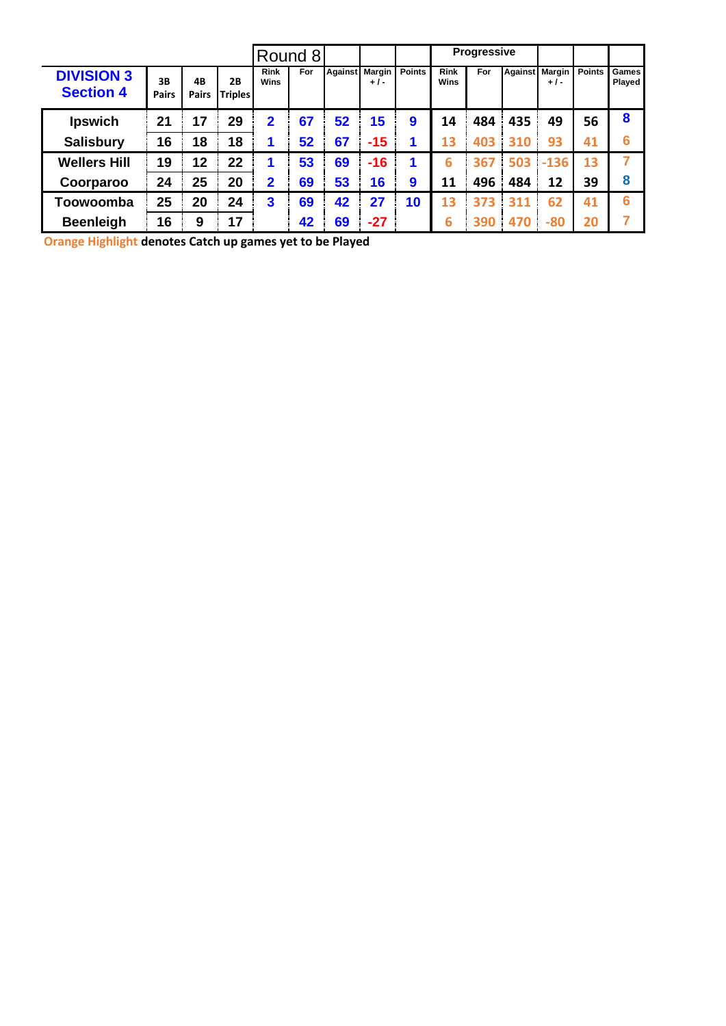|                                       |                    |                    |                      |                     | Round 8 |                |       |               |                     | <b>Progressive</b> |                |        |               |                        |
|---------------------------------------|--------------------|--------------------|----------------------|---------------------|---------|----------------|-------|---------------|---------------------|--------------------|----------------|--------|---------------|------------------------|
| <b>DIVISION 3</b><br><b>Section 4</b> | 3B<br><b>Pairs</b> | 4B<br><b>Pairs</b> | 2B<br><b>Triples</b> | <b>Rink</b><br>Wins | For     | Against Margin | $+1-$ | <b>Points</b> | <b>Rink</b><br>Wins | For                | Against Margin | $+1-$  | <b>Points</b> | Games<br><b>Played</b> |
| <b>Ipswich</b>                        | 21                 | 17                 | 29                   | $\mathbf 2$         | 67      | 52             | 15    | 9             | 14                  | 484                | 435            | 49     | 56            | 8                      |
| <b>Salisbury</b>                      | 16                 | 18                 | 18                   |                     | 52      | 67             | $-15$ | 1             | 13                  | 403                | 310            | 93     | 41            | 6                      |
| <b>Wellers Hill</b>                   | 19                 | 12                 | 22                   |                     | 53      | 69             | $-16$ | 1             | 6                   | 367                | 503            | $-136$ | 13            |                        |
| Coorparoo                             | 24                 | 25                 | 20                   | 2                   | 69      | 53             | 16    | 9             | 11                  | 496                | 484            | 12     | 39            | 8                      |
| Toowoomba                             | 25                 | 20                 | 24                   | 3                   | 69      | 42             | 27    | 10            | 13                  | 373                | 311            | 62     | 41            | 6                      |
| <b>Beenleigh</b>                      | 16                 | 9                  | 17                   |                     | 42      | 69             | $-27$ |               | 6                   | 390                | 470            | $-80$  | 20            |                        |

**Orange Highlight denotes Catch up games yet to be Played**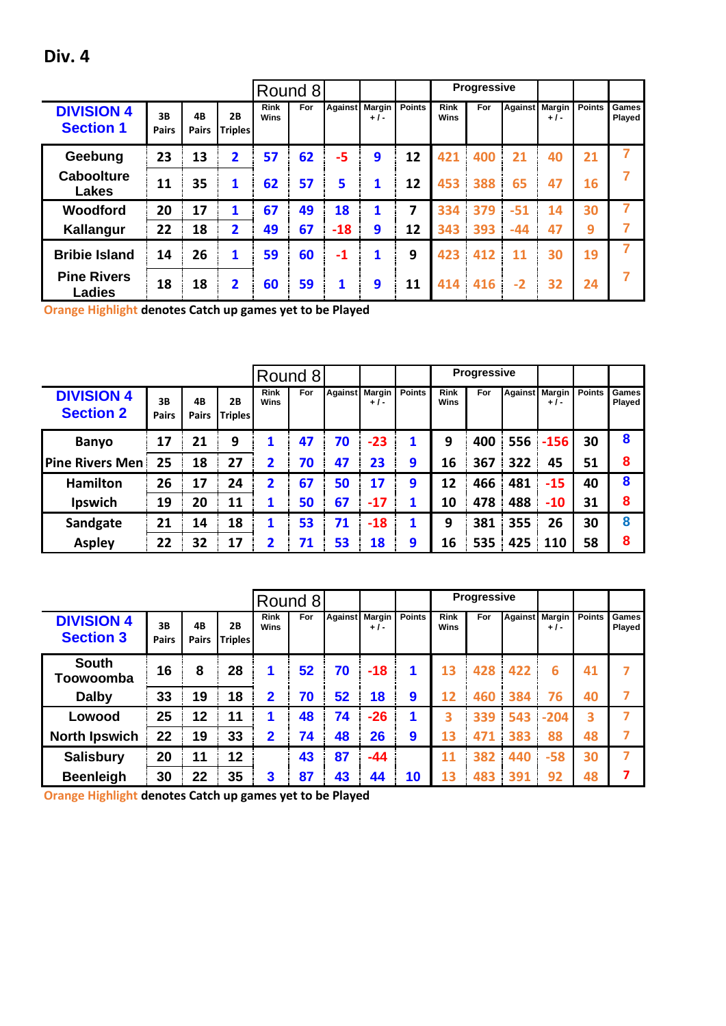|                                       |                    |                    |                      |                            | Round 8    |                |       |               |                            | <b>Progressive</b> |                |       |               |                 |
|---------------------------------------|--------------------|--------------------|----------------------|----------------------------|------------|----------------|-------|---------------|----------------------------|--------------------|----------------|-------|---------------|-----------------|
| <b>DIVISION 4</b><br><b>Section 1</b> | 3B<br><b>Pairs</b> | 4B<br><b>Pairs</b> | 2B<br><b>Triples</b> | <b>Rink</b><br><b>Wins</b> | <b>For</b> | Against Margin | $+1-$ | <b>Points</b> | <b>Rink</b><br><b>Wins</b> | For                | Against Margin | + / - | <b>Points</b> | Games<br>Played |
| Geebung                               | 23                 | 13                 | 2                    | 57                         | 62         | -5             | 9     | 12            | 421                        | 400                | 21             | 40    | 21            |                 |
| <b>Caboolture</b><br>Lakes            | 11                 | 35                 | 1                    | 62                         | 57         | 5              | 1     | 12            | 453                        | 388                | 65             | 47    | 16            |                 |
| Woodford                              | 20                 | 17                 |                      | 67                         | 49         | 18             | 1     | 7             | 334                        | 379                | $-51$          | 14    | 30            |                 |
| Kallangur                             | 22                 | 18                 | 2                    | 49                         | 67         | $-18$          | 9     | 12            | 343                        | 393                | $-44$          | 47    | 9             | 7               |
| <b>Bribie Island</b>                  | 14                 | 26                 | 1                    | 59                         | 60         | $-1$           | 1     | 9             | 423                        | 412                | 11             | 30    | 19            |                 |
| <b>Pine Rivers</b><br><b>Ladies</b>   | 18                 | 18                 | 2                    | 60                         | 59         | 1              | 9     | 11            |                            | 414 416            | $-2$           | 32    | 24            |                 |

**Orange Highlight denotes Catch up games yet to be Played**

|                                       |                    |                    |                             |                     | Round 8 |                |       |               |                            | <b>Progressive</b> |                |        |               |                        |
|---------------------------------------|--------------------|--------------------|-----------------------------|---------------------|---------|----------------|-------|---------------|----------------------------|--------------------|----------------|--------|---------------|------------------------|
| <b>DIVISION 4</b><br><b>Section 2</b> | 3B<br><b>Pairs</b> | 4B<br><b>Pairs</b> | <b>2B</b><br><b>Triples</b> | <b>Rink</b><br>Wins | For     | Against Margin | $+1-$ | <b>Points</b> | <b>Rink</b><br><b>Wins</b> | For                | Against Margin | $+1-$  | <b>Points</b> | Games<br><b>Played</b> |
| <b>Banyo</b>                          | 17                 | 21                 | 9                           | 1                   | 47      | 70             | $-23$ | 1             | 9                          | 400                | 556            | $-156$ | 30            | 8                      |
| <b>Pine Rivers Men!</b>               | 25                 | 18                 | 27                          | 2                   | 70      | 47             | 23    | 9             | 16                         | 367                | 322            | 45     | 51            | 8                      |
| <b>Hamilton</b>                       | 26                 | 17                 | 24                          | 2                   | 67      | 50             | 17    | 9             | 12                         | 466                | 481            | $-15$  | 40            | 8                      |
| <b>Ipswich</b>                        | 19                 | 20                 | 11                          | 1                   | 50      | 67             | $-17$ |               | 10                         | 478                | 488            | $-10$  | 31            | 8                      |
| Sandgate                              | 21                 | 14                 | 18                          | 1                   | 53      | 71             | $-18$ | 1             | 9                          | 381                | 355            | 26     | 30            | 8                      |
| <b>Aspley</b>                         | 22                 | 32                 | 17                          | 2                   | 71      | 53             | 18    | 9             | 16                         | 535                | 425            | 110    | 58            | 8                      |

|                                       |                    |             |                      |                     | Round 8 |    |                         |               |                     | <b>Progressive</b> |                |        |               |                 |
|---------------------------------------|--------------------|-------------|----------------------|---------------------|---------|----|-------------------------|---------------|---------------------|--------------------|----------------|--------|---------------|-----------------|
| <b>DIVISION 4</b><br><b>Section 3</b> | 3B<br><b>Pairs</b> | 4B<br>Pairs | 2B<br><b>Triples</b> | <b>Rink</b><br>Wins | For     |    | Against Margin<br>$+1-$ | <b>Points</b> | <b>Rink</b><br>Wins | For                | Against Margin | $+1-$  | <b>Points</b> | Games<br>Played |
| <b>South</b><br>Toowoomba             | 16                 | 8           | 28                   | 1                   | 52      | 70 | $-18$                   | 1             | 13                  | 428                | 422            | 6      | 41            |                 |
| <b>Dalby</b>                          | 33                 | 19          | 18                   | $\mathbf 2$         | 70      | 52 | 18                      | 9             | 12                  | 460                | 384            | 76     | 40            |                 |
| Lowood                                | 25                 | 12          | 11                   | 1                   | 48      | 74 | $-26$                   |               | 3                   | 339                | 543            | $-204$ | 3             |                 |
| <b>North Ipswich</b>                  | 22                 | 19          | 33                   | $\mathbf 2$         | 74      | 48 | 26                      | 9             | 13                  | 471                | 383            | 88     | 48            |                 |
| <b>Salisbury</b>                      | 20                 | 11          | 12                   |                     | 43      | 87 | $-44$                   |               | 11                  | 382                | 440            | $-58$  | 30            | 7               |
| <b>Beenleigh</b>                      | 30                 | 22          | 35                   | 3                   | 87      | 43 | 44                      | 10            | 13                  | 483                | 391            | 92     | 48            | 7               |

**Orange Highlight denotes Catch up games yet to be Played**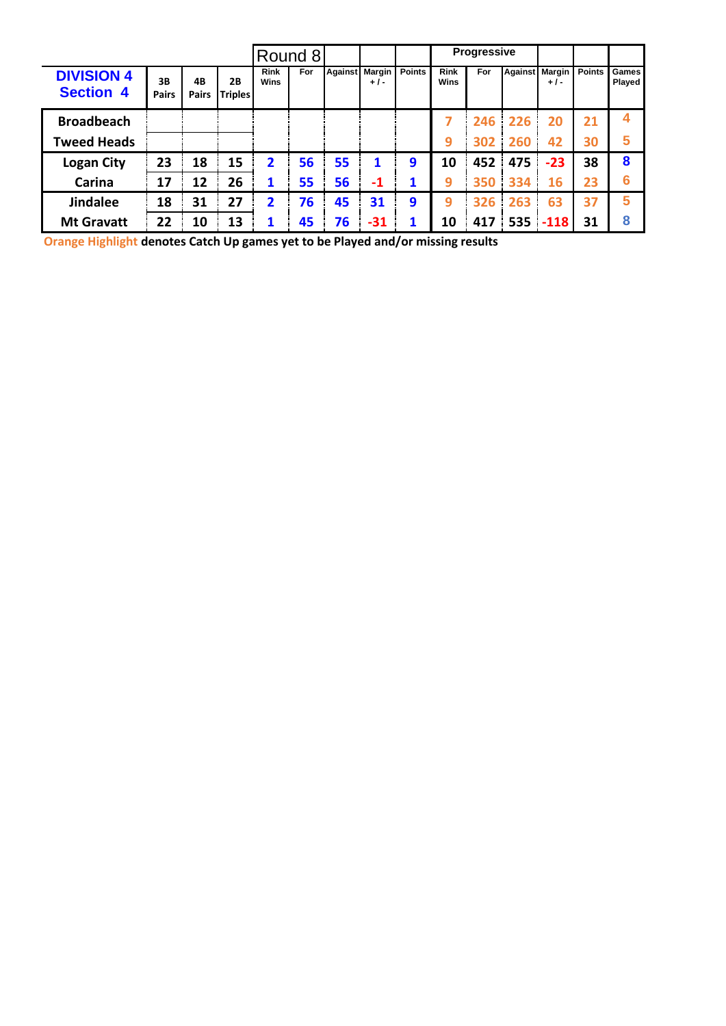|                                       |                    |                    |                             |                     | Round 8 |    |                         |               |                     | <b>Progressive</b> |     |                         |               |                               |
|---------------------------------------|--------------------|--------------------|-----------------------------|---------------------|---------|----|-------------------------|---------------|---------------------|--------------------|-----|-------------------------|---------------|-------------------------------|
| <b>DIVISION 4</b><br><b>Section 4</b> | 3B<br><b>Pairs</b> | 4B<br><b>Pairs</b> | <b>2B</b><br><b>Triples</b> | <b>Rink</b><br>Wins | For     |    | Against Margin<br>$+1-$ | <b>Points</b> | <b>Rink</b><br>Wins | For                |     | Against Margin<br>$+1-$ | <b>Points</b> | <b>Games</b><br><b>Played</b> |
| <b>Broadbeach</b>                     |                    |                    |                             |                     |         |    |                         |               |                     | 246                | 226 | 20                      | 21            |                               |
| <b>Tweed Heads</b>                    |                    |                    |                             |                     |         |    |                         |               | 9                   | 302                | 260 | 42                      | 30            | 5                             |
| <b>Logan City</b>                     | 23                 | 18                 | 15                          | 2                   | 56      | 55 | 1                       | 9             | 10                  | 452                | 475 | $-23$                   | 38            | 8                             |
| Carina                                | 17                 | 12                 | 26                          | 1                   | 55      | 56 | $-1$                    | 1             | 9                   | 350                | 334 | 16                      | 23            | 6                             |
| <b>Jindalee</b>                       | 18                 | 31                 | 27                          | 2                   | 76      | 45 | 31                      | 9             | 9                   | 326                | 263 | 63                      | 37            | 5                             |
| <b>Mt Gravatt</b>                     | 22                 | 10                 | 13                          | 1                   | 45      | 76 | $-31$                   | 1             | 10                  | 417                |     | $535$ -118              | 31            | 8                             |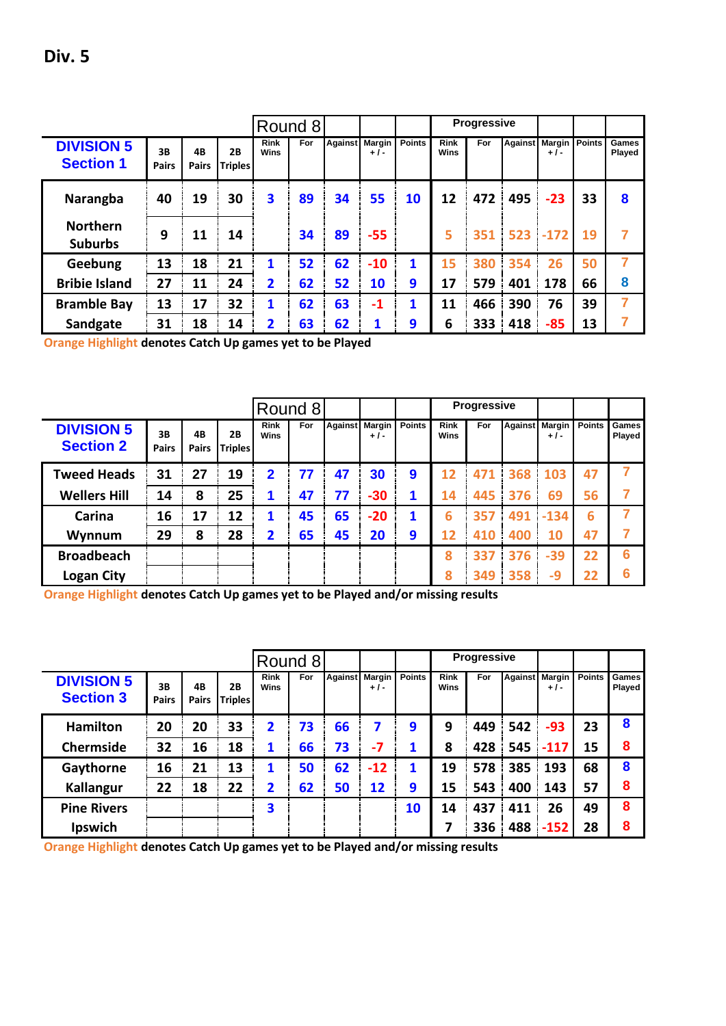|                                       |                    |                    |                      |                     | Round 8 |    |                         |               |                            | <b>Progressive</b> |             |                                       |    |                 |
|---------------------------------------|--------------------|--------------------|----------------------|---------------------|---------|----|-------------------------|---------------|----------------------------|--------------------|-------------|---------------------------------------|----|-----------------|
| <b>DIVISION 5</b><br><b>Section 1</b> | 3B<br><b>Pairs</b> | 4B<br><b>Pairs</b> | 2B<br><b>Triples</b> | <b>Rink</b><br>Wins | For     |    | Against Margin<br>$+1-$ | <b>Points</b> | <b>Rink</b><br><b>Wins</b> | For                |             | <b>Against Margin Points</b><br>+ / - |    | Games<br>Played |
| Narangba                              | 40                 | 19                 | 30                   | 3                   | 89      | 34 | 55                      | 10            | 12                         | 472                | 495         | $-23$                                 | 33 | 8               |
| <b>Northern</b><br><b>Suburbs</b>     | 9                  | 11                 | 14                   |                     | 34      | 89 | $-55$                   |               | 5                          | 351                | $523 - 172$ |                                       | 19 | 7               |
| Geebung                               | 13                 | 18                 | 21                   | 1                   | 52      | 62 | $-10$                   | 1             | 15                         | 380                | 354         | 26                                    | 50 | 7               |
| <b>Bribie Island</b>                  | 27                 | 11                 | 24                   | $\overline{2}$      | 62      | 52 | 10                      | 9             | 17                         | 579                | 401         | 178                                   | 66 | 8               |
| <b>Bramble Bay</b>                    | 13                 | 17                 | 32                   | 1                   | 62      | 63 | $-1$                    | 1             | 11                         | 466                | 390         | 76                                    | 39 | 7               |
| Sandgate                              | 31                 | 18                 | 14                   | 2                   | 63      | 62 | 1                       | 9             | 6                          | 333                | 418         | $-85$                                 | 13 | 7               |

**Orange Highlight denotes Catch Up games yet to be Played**

|                                       |                    |                    |                      |                            | Round 8 |    |                         |                  |                     | Progressive |     |                         |               |                 |
|---------------------------------------|--------------------|--------------------|----------------------|----------------------------|---------|----|-------------------------|------------------|---------------------|-------------|-----|-------------------------|---------------|-----------------|
| <b>DIVISION 5</b><br><b>Section 2</b> | 3B<br><b>Pairs</b> | 4B<br><b>Pairs</b> | 2B<br><b>Triples</b> | <b>Rink</b><br><b>Wins</b> | For     |    | Against Margin<br>$+1-$ | <b>Points</b>    | <b>Rink</b><br>Wins | For         |     | Against Margin<br>$+1-$ | <b>Points</b> | Games<br>Played |
| <b>Tweed Heads</b>                    | 31                 | 27                 | 19                   | $\overline{2}$             | 77      | 47 | 30                      | $\boldsymbol{9}$ | 12                  | 471         |     | 368 103                 | 47            |                 |
| <b>Wellers Hill</b>                   | 14                 | 8                  | 25                   | 1                          | 47      | 77 | $-30$                   | 1                | 14                  | 445         | 376 | 69                      | 56            |                 |
| Carina                                | 16                 | 17                 | 12                   | 1                          | 45      | 65 | $-20$                   | 1                | 6                   | 357         | 491 | $-134$                  | 6             |                 |
| Wynnum                                | 29                 | 8                  | 28                   | $\overline{2}$             | 65      | 45 | 20                      | 9                | 12                  | 410         | 400 | 10                      | 47            |                 |
| <b>Broadbeach</b>                     |                    |                    |                      |                            |         |    |                         |                  | 8                   | 337         | 376 | $-39$                   | 22            | 6               |
| <b>Logan City</b>                     |                    |                    |                      |                            |         |    |                         |                  | 8                   | 349         | 358 | -9                      | 22            | 6               |

**Orange Highlight denotes Catch Up games yet to be Played and/or missing results**

|                                       |                    |             |                      |                     | Round 8 |                |       |               |                     | Progressive |     |                         |               |                        |
|---------------------------------------|--------------------|-------------|----------------------|---------------------|---------|----------------|-------|---------------|---------------------|-------------|-----|-------------------------|---------------|------------------------|
| <b>DIVISION 5</b><br><b>Section 3</b> | 3B<br><b>Pairs</b> | 4B<br>Pairs | 2Β<br><b>Triples</b> | <b>Rink</b><br>Wins | For     | Against Margin | $+1-$ | <b>Points</b> | <b>Rink</b><br>Wins | For         |     | Against Margin<br>$+1-$ | <b>Points</b> | Games<br><b>Played</b> |
| <b>Hamilton</b>                       | 20                 | 20          | 33                   | 2                   | 73      | 66             | 7     | 9             | 9                   | 449         | 542 | $-93$                   | 23            | 8                      |
| Chermside                             | 32                 | 16          | 18                   | 1                   | 66      | 73             | $-7$  | 1             | 8                   | 428         |     | $545 - 117$             | 15            | 8                      |
| Gaythorne                             | 16                 | 21          | 13                   | 1                   | 50      | 62             | $-12$ | 1             | 19                  | 578         | 385 | 193                     | 68            | 8                      |
| <b>Kallangur</b>                      | 22                 | 18          | 22                   | 2                   | 62      | 50             | 12    | 9             | 15                  | 543         | 400 | 143                     | 57            | 8                      |
| <b>Pine Rivers</b>                    |                    |             |                      | 3                   |         |                |       | 10            | 14                  | 437         | 411 | 26                      | 49            | 8                      |
| Ipswich                               |                    |             |                      |                     |         |                |       |               |                     | 336         | 488 | $-152$                  | 28            | 8                      |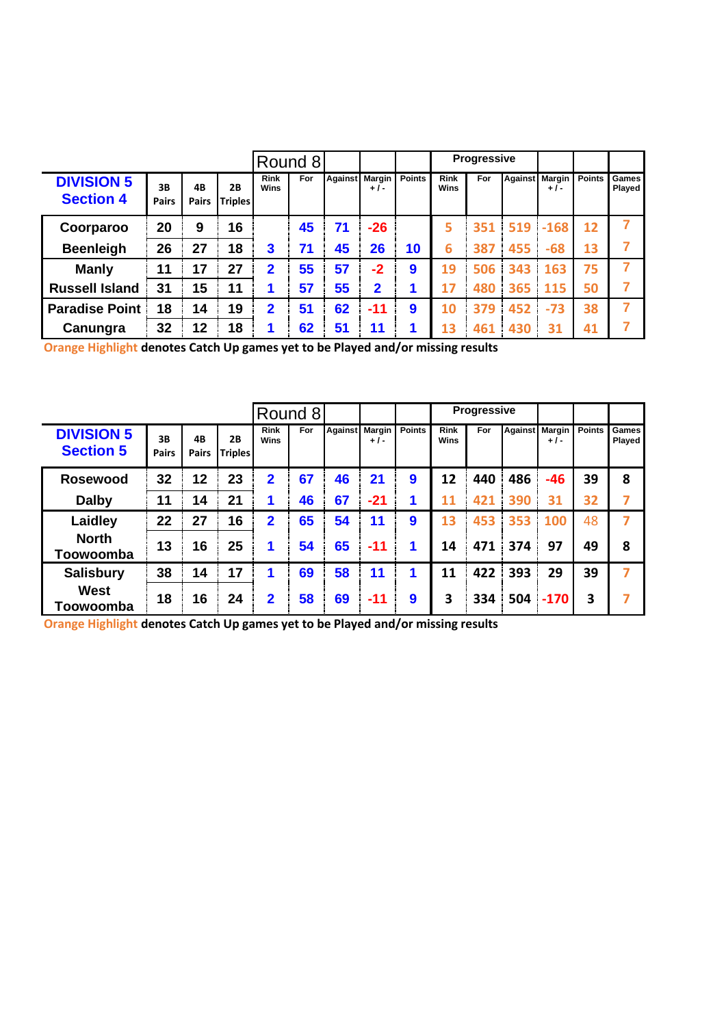|                                       |                    |                    |                      |                            | Round 8 |    |                         |               |                            | <b>Progressive</b> |                |        |               |                        |
|---------------------------------------|--------------------|--------------------|----------------------|----------------------------|---------|----|-------------------------|---------------|----------------------------|--------------------|----------------|--------|---------------|------------------------|
| <b>DIVISION 5</b><br><b>Section 4</b> | 3B<br><b>Pairs</b> | 4B<br><b>Pairs</b> | 2Β<br><b>Triples</b> | <b>Rink</b><br><b>Wins</b> | For     |    | Against Margin<br>$+1-$ | <b>Points</b> | <b>Rink</b><br><b>Wins</b> | For                | Against Margin | $+1-$  | <b>Points</b> | Games<br><b>Played</b> |
| Coorparoo                             | 20                 | 9                  | 16                   |                            | 45      | 71 | $-26$                   |               | 5                          | 351                | 519            | $-168$ | 12            |                        |
| <b>Beenleigh</b>                      | 26                 | 27                 | 18                   | 3                          | 71      | 45 | 26                      | 10            | 6                          | 387                | 455            | $-68$  | 13            |                        |
| <b>Manly</b>                          | 11                 | 17                 | 27                   | 2                          | 55      | 57 | $-2$                    | 9             | 19                         | 506                | 343            | 163    | 75            |                        |
| <b>Russell Island</b>                 | 31                 | 15                 | 11                   |                            | 57      | 55 | $\mathbf{2}$            |               | 17                         | 480                | 365            | 115    | 50            |                        |
| <b>Paradise Point</b>                 | 18                 | 14                 | 19                   | $\overline{2}$             | 51      | 62 | $-11$                   | 9             | 10                         | 379                | 452            | $-73$  | 38            | 7                      |
| Canungra                              | 32                 | 12                 | 18                   |                            | 62      | 51 | 11                      | 1             | 13                         | 461                | 430            | 31     | 41            |                        |

|                                       |                    |                    |                      |                     | Round 8 |                |       |               |                            | <b>Progressive</b> |                |        |               |                        |
|---------------------------------------|--------------------|--------------------|----------------------|---------------------|---------|----------------|-------|---------------|----------------------------|--------------------|----------------|--------|---------------|------------------------|
| <b>DIVISION 5</b><br><b>Section 5</b> | 3B<br><b>Pairs</b> | 4B<br><b>Pairs</b> | 2B<br><b>Triples</b> | <b>Rink</b><br>Wins | For     | Against Margin | $+1-$ | <b>Points</b> | <b>Rink</b><br><b>Wins</b> | For                | Against Margin | $+1-$  | <b>Points</b> | <b>Games</b><br>Played |
| <b>Rosewood</b>                       | 32                 | 12                 | 23                   | $\overline{2}$      | 67      | 46             | 21    | 9             | 12                         | 440                | 486            | $-46$  | 39            | 8                      |
| <b>Dalby</b>                          | 11                 | 14                 | 21                   |                     | 46      | 67             | $-21$ |               | 11                         | 421                | 390            | 31     | 32            |                        |
| Laidley                               | 22                 | 27                 | 16                   | 2                   | 65      | 54             | 11    | 9             | 13                         | 453                | 353            | 100    | 48            | 7                      |
| <b>North</b><br>Toowoomba             | 13                 | 16                 | 25                   | 1                   | 54      | 65             | $-11$ | 1             | 14                         | 471                | 374            | 97     | 49            | 8                      |
| <b>Salisbury</b>                      | 38                 | 14                 | 17                   | 1                   | 69      | 58             | 11    | 1             | 11                         | 422                | 393            | 29     | 39            | 7                      |
| <b>West</b><br>Toowoomba              | 18                 | 16                 | 24                   | $\overline{2}$      | 58      | 69             | $-11$ | 9             | 3                          | 334                | 504            | $-170$ | 3             |                        |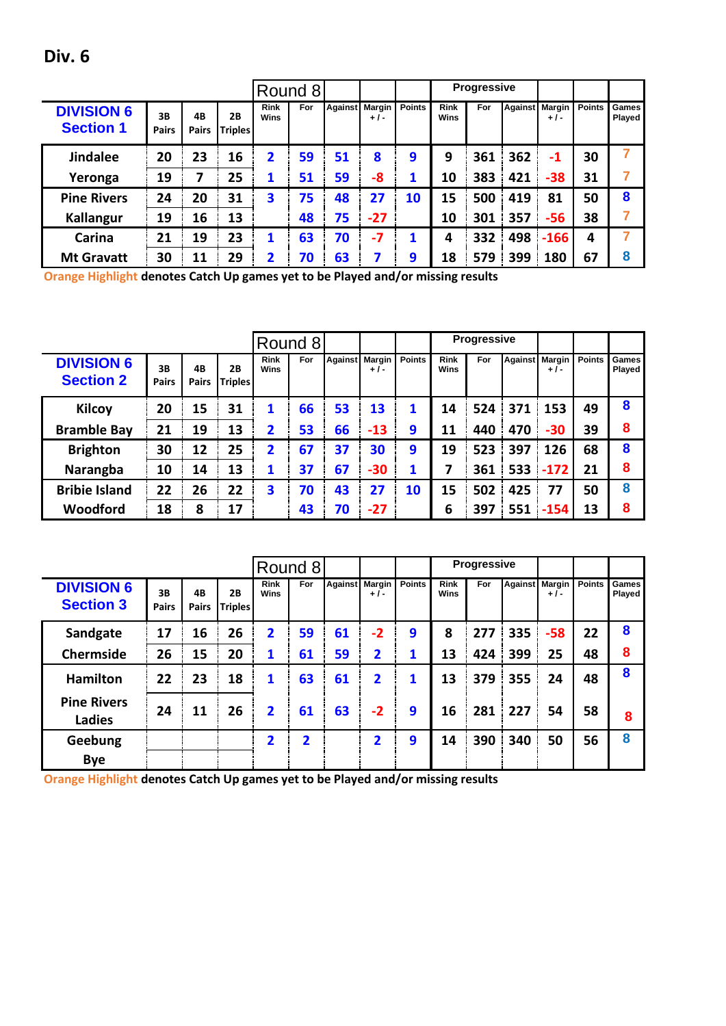|  | I |
|--|---|
|--|---|

|                                       |                    |                    |                      |                     | Round 8    |                |                        |               |                            | <b>Progressive</b> |                |                 |               |                 |
|---------------------------------------|--------------------|--------------------|----------------------|---------------------|------------|----------------|------------------------|---------------|----------------------------|--------------------|----------------|-----------------|---------------|-----------------|
| <b>DIVISION 6</b><br><b>Section 1</b> | 3B<br><b>Pairs</b> | 4B<br><b>Pairs</b> | 2Β<br><b>Triples</b> | <b>Rink</b><br>Wins | <b>For</b> | <b>Against</b> | <b>Margin</b><br>$+1-$ | <b>Points</b> | <b>Rink</b><br><b>Wins</b> | For                | <b>Against</b> | Margin<br>$+1-$ | <b>Points</b> | Games<br>Played |
| <b>Jindalee</b>                       | 20                 | 23                 | 16                   | 2                   | 59         | 51             | 8                      | 9             | 9                          | 361                | 362            | $-1$            | 30            |                 |
| Yeronga                               | 19                 | 7                  | 25                   | $\mathbf 1$         | 51         | 59             | -8                     |               | 10                         | 383                | 421            | $-38$           | 31            |                 |
| <b>Pine Rivers</b>                    | 24                 | 20                 | 31                   | 3                   | 75         | 48             | 27                     | 10            | 15                         | 500                | 419            | 81              | 50            | 8               |
| <b>Kallangur</b>                      | 19                 | 16                 | 13                   |                     | 48         | 75             | $-27$                  |               | 10                         | 301                | 357            | $-56$           | 38            |                 |
| Carina                                | 21                 | 19                 | 23                   | 1                   | 63         | 70             | $-7$                   |               | 4                          | 332                | 498            | $-166$          | 4             |                 |
| <b>Mt Gravatt</b>                     | 30                 | 11                 | 29                   | 2                   | 70         | 63             |                        | 9             | 18                         | 579                | 399            | 180             | 67            | 8               |

|                                       |                    |                    |                             |                         | Round 8 |                |       |               |                     | Progressive |     |                         |               |                        |
|---------------------------------------|--------------------|--------------------|-----------------------------|-------------------------|---------|----------------|-------|---------------|---------------------|-------------|-----|-------------------------|---------------|------------------------|
| <b>DIVISION 6</b><br><b>Section 2</b> | 3B<br><b>Pairs</b> | 4B<br><b>Pairs</b> | <b>2B</b><br><b>Triples</b> | <b>Rink</b><br>Wins     | For     | Against Margin | $+1-$ | <b>Points</b> | <b>Rink</b><br>Wins | For         |     | Against Margin<br>$+1-$ | <b>Points</b> | Games<br><b>Played</b> |
| <b>Kilcoy</b>                         | 20                 | 15                 | 31                          | 1                       | 66      | 53             | 13    | 1             | 14                  | 524         | 371 | 153                     | 49            | 8                      |
| <b>Bramble Bay</b>                    | 21                 | 19                 | 13                          | 2                       | 53      | 66             | $-13$ | 9             | 11                  | 440         | 470 | $-30$                   | 39            | 8                      |
| <b>Brighton</b>                       | 30                 | 12                 | 25                          | $\overline{\mathbf{2}}$ | 67      | 37             | 30    | 9             | 19                  | 523         | 397 | 126                     | 68            | 8                      |
| Narangba                              | 10                 | 14                 | 13                          | 1                       | 37      | 67             | $-30$ | 1             | 7                   | 361         | 533 | $-172$                  | 21            | 8                      |
| <b>Bribie Island</b>                  | 22                 | 26                 | 22                          | 3                       | 70      | 43             | 27    | 10            | 15                  | 502         | 425 | 77                      | 50            | 8                      |
| Woodford                              | 18                 | 8                  | 17                          |                         | 43      | 70             | $-27$ |               | 6                   | 397         | 551 | $-154$                  | 13            | 8                      |

|                                       |                    |                    |                      |                         | Round 8 |                |                         |               |                     | <b>Progressive</b> |                |       |               |                        |
|---------------------------------------|--------------------|--------------------|----------------------|-------------------------|---------|----------------|-------------------------|---------------|---------------------|--------------------|----------------|-------|---------------|------------------------|
| <b>DIVISION 6</b><br><b>Section 3</b> | 3B<br><b>Pairs</b> | 4B<br><b>Pairs</b> | 2B<br><b>Triples</b> | <b>Rink</b><br>Wins     | For     | Against Margin | $+1-$                   | <b>Points</b> | <b>Rink</b><br>Wins | For                | Against Margin | $+1-$ | <b>Points</b> | <b>Games</b><br>Played |
| Sandgate                              | 17                 | 16                 | 26                   | $\overline{\mathbf{2}}$ | 59      | 61             | $-2$                    | 9             | 8                   | 277                | 335            | $-58$ | 22            | 8                      |
| Chermside                             | 26                 | 15                 | 20                   | 1                       | 61      | 59             | $\overline{\mathbf{2}}$ | 1             | 13                  | 424                | 399            | 25    | 48            | 8                      |
| <b>Hamilton</b>                       | 22                 | 23                 | 18                   | 1                       | 63      | 61             | 2                       | 1             | 13                  | 379                | 355            | 24    | 48            | 8                      |
| <b>Pine Rivers</b><br><b>Ladies</b>   | 24                 | 11                 | 26                   | $\mathbf{2}$            | 61      | 63             | $-2$                    | 9             | 16                  | 281                | 227            | 54    | 58            | 8                      |
| Geebung                               |                    |                    |                      | 2                       | 2       |                | 2                       | 9             | 14                  | 390                | 340            | 50    | 56            | 8                      |
| <b>Bye</b>                            |                    |                    |                      |                         |         |                |                         |               |                     |                    |                |       |               |                        |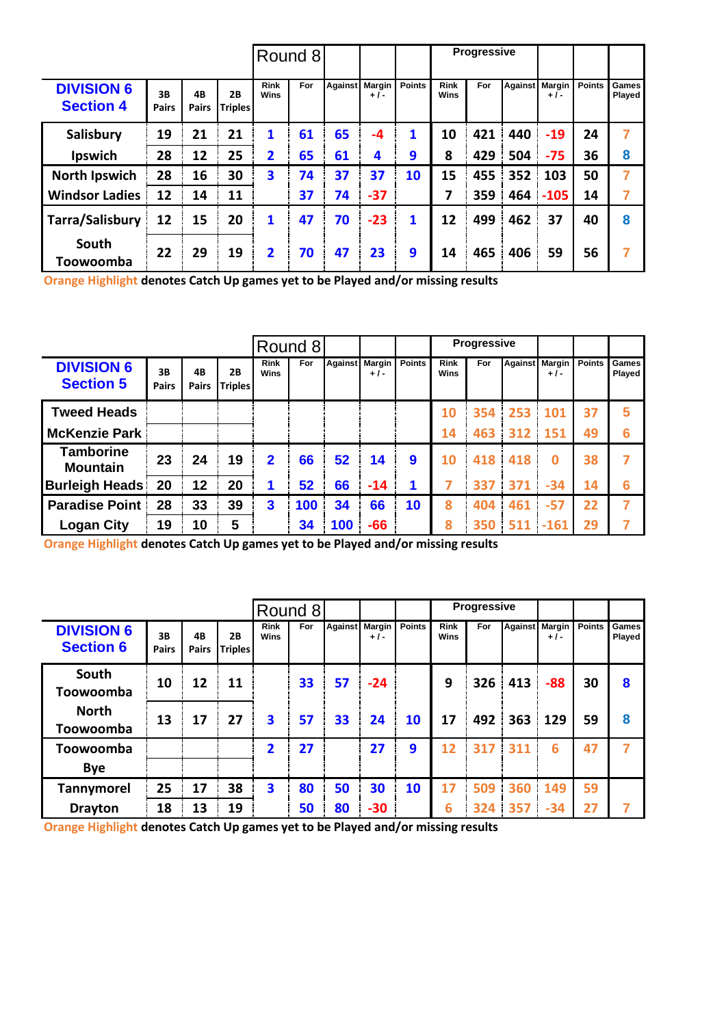|                                       |                    |                    |                      |                            | Round 8 |                |       |               |                     | <b>Progressive</b> |                |        |               |                 |
|---------------------------------------|--------------------|--------------------|----------------------|----------------------------|---------|----------------|-------|---------------|---------------------|--------------------|----------------|--------|---------------|-----------------|
| <b>DIVISION 6</b><br><b>Section 4</b> | 3B<br><b>Pairs</b> | 4B<br><b>Pairs</b> | 2B<br><b>Triples</b> | <b>Rink</b><br><b>Wins</b> | For     | Against Margin | $+1-$ | <b>Points</b> | <b>Rink</b><br>Wins | For                | Against Margin | $+1-$  | <b>Points</b> | Games<br>Played |
| Salisbury                             | 19                 | 21                 | 21                   | 1                          | 61      | 65             | $-4$  | 1             | 10                  | 421                | 440            | $-19$  | 24            | 7               |
| Ipswich                               | 28                 | 12                 | 25                   | $\overline{2}$             | 65      | 61             | 4     | 9             | 8                   | 429                | 504            | $-75$  | 36            | 8               |
| <b>North Ipswich</b>                  | 28                 | 16                 | 30                   | 3                          | 74      | 37             | 37    | 10            | 15                  | 455                | 352            | 103    | 50            | 7               |
| <b>Windsor Ladies</b>                 | 12                 | 14                 | 11                   |                            | 37      | 74             | $-37$ |               | 7                   | 359                | 464            | $-105$ | 14            | 7               |
| Tarra/Salisbury                       | 12                 | 15                 | 20                   | 1                          | 47      | 70             | $-23$ | 1             | 12                  | 499                | 462            | 37     | 40            | 8               |
| South<br>Toowoomba                    | 22                 | 29                 | 19                   | $\overline{2}$             | 70      | 47             | 23    | 9             | 14                  | 465                | 406            | 59     | 56            | 7               |

|                                       |                    |                    |                             |                            | Round 8 |                |       |               |                     | <b>Progressive</b> |                |          |               |                        |
|---------------------------------------|--------------------|--------------------|-----------------------------|----------------------------|---------|----------------|-------|---------------|---------------------|--------------------|----------------|----------|---------------|------------------------|
| <b>DIVISION 6</b><br><b>Section 5</b> | 3B<br><b>Pairs</b> | 4B<br><b>Pairs</b> | <b>2B</b><br><b>Triples</b> | <b>Rink</b><br><b>Wins</b> | For     | Against Margin | $+1-$ | <b>Points</b> | <b>Rink</b><br>Wins | For                | Against Margin | $+1-$    | <b>Points</b> | Games<br><b>Played</b> |
| <b>Tweed Heads</b>                    |                    |                    |                             |                            |         |                |       |               | 10                  | 354                | 253            | 101      | 37            | 5                      |
| <b>McKenzie Park</b>                  |                    |                    |                             |                            |         |                |       |               | 14                  | 463                | 312            | 151      | 49            | 6                      |
| <b>Tamborine</b><br><b>Mountain</b>   | 23                 | 24                 | 19                          | $\mathbf{2}$               | 66      | 52             | 14    | 9             | 10                  | 418                | 418            | $\bf{0}$ | 38            |                        |
| <b>Burleigh Heads!</b>                | 20                 | 12                 | 20                          | 1                          | 52      | 66             | $-14$ |               |                     | 337                | 371            | $-34$    | 14            | 6                      |
| <b>Paradise Point</b>                 | 28                 | 33                 | 39                          | $\overline{\mathbf{3}}$    | 100     | 34             | 66    | 10            | 8                   | 404                | 461            | $-57$    | 22            |                        |
| <b>Logan City</b>                     | 19                 | 10                 | 5                           |                            | 34      | 100            | $-66$ |               | 8                   | 350                | 511            | $-161$   | 29            |                        |

**Orange Highlight denotes Catch Up games yet to be Played and/or missing results**

|                                       |                    |                    |                      |                         | Round 8 |    |                         |               |                            | <b>Progressive</b> |                   |                                |               |                 |
|---------------------------------------|--------------------|--------------------|----------------------|-------------------------|---------|----|-------------------------|---------------|----------------------------|--------------------|-------------------|--------------------------------|---------------|-----------------|
| <b>DIVISION 6</b><br><b>Section 6</b> | 3B<br><b>Pairs</b> | 4B<br><b>Pairs</b> | 2B<br><b>Triples</b> | <b>Rink</b><br>Wins     | For     |    | Against Margin<br>$+1-$ | <b>Points</b> | <b>Rink</b><br><b>Wins</b> | For                |                   | <b>Against</b> Margin<br>$+1-$ | <b>Points</b> | Games<br>Played |
| South<br>Toowoomba                    | 10                 | 12                 | 11                   |                         | 33      | 57 | $-24$                   |               | 9                          | 326                | 413               | $-88$                          | 30            | 8               |
| <b>North</b><br>Toowoomba             | 13                 | 17                 | 27                   | 3                       | 57      | 33 | 24                      | 10            | 17                         | 492                | $363 \mid 129$    |                                | 59            | 8               |
| Toowoomba                             |                    |                    |                      | $\overline{\mathbf{2}}$ | 27      |    | 27                      | 9             | 12                         | 317                | 311               | 6                              | 47            | 7               |
| <b>Bye</b>                            |                    |                    |                      |                         |         |    |                         |               |                            |                    |                   |                                |               |                 |
| <b>Tannymorel</b>                     | 25                 | 17                 | 38                   | 3                       | 80      | 50 | 30                      | 10            | 17                         | 509                | $360 \frac{1}{2}$ | 149                            | 59            |                 |
| <b>Drayton</b>                        | 18                 | 13                 | 19                   |                         | 50      | 80 | $-30$                   |               | 6                          | 324                | 357               | $-34$                          | 27            | 7               |